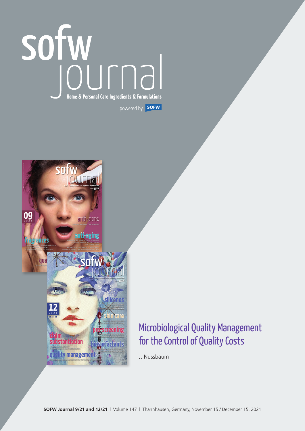# powered by **SOFW**



# Microbiological Quality Management for the Control of Quality Costs

J. Nussbaum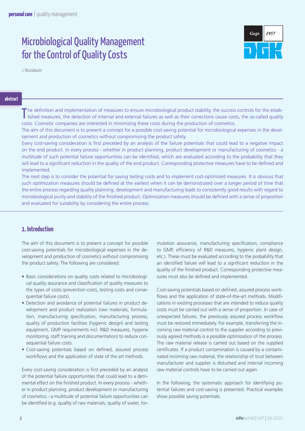# Microbiological Quality Management for the Control of Quality Costs



J. Nussbaum

**abstract**

The definition and implementation of measures to ensure microbiological product stability, the success controls for the estability is detection of internal and external failures as well as their corrections cause costs, th The definition and implementation of measures to ensure microbiological product stability, the success controls for the estabcosts. Cosmetic companies are interested in minimizing these costs during the production of cosmetics.

The aim of this document is to present a concept for a possible cost-saving potential for microbiological expenses in the development and production of cosmetics without compromising the product safety.

Every cost-saving consideration is first preceded by an analysis of the failure potentials that could lead to a negative impact on the end product. In every process - whether in product planning, product development or manufacturing of cosmetics - a multitude of such potential failure opportunities can be identified, which are evaluated according to the probability that they will lead to a significant reduction in the quality of the end product. Corresponding protective measures have to be defined and implemented.

The next step is to consider the potential for saving testing costs and to implement cost-optimized measures. It is obvious that such optimization measures should be defined at the earliest when it can be demonstrated over a longer period of time that the entire process regarding quality planning, development and manufacturing leads to consistently good results with regard to microbiological purity and stability of the finished product. Optimization measures should be defined with a sense of proportion and evaluated for suitability by considering the entire process.

### **1. Introduction**

The aim of this document is to present a concept for possible cost-saving potentials for microbiological expenses in the development and production of cosmetics without compromising the product safety. The following are considered:

- Basic considerations on quality costs related to microbiological quality assurance and classification of quality measures to the types of costs (prevention costs, testing costs and consequential failure costs).
- Detection and avoidance of potential failures in product development and product realization (raw materials, formulation, manufacturing specification, manufacturing process, quality of production facilities (hygienic design) and testing equipment, GMP requirements incl. R&D measures, hygiene monitoring, staff training and documentation) to reduce consequential failure costs.
- Cost-saving potentials based on defined, assured process workflows and the application of state of the art methods.

Every cost-saving consideration is first preceded by an analysis of the potential failure opportunities that could lead to a detrimental effect on the finished product. In every process - whether in product planning, product development or manufacturing of cosmetics - a multitude of potential failure opportunities can be identified (e.g. quality of raw materials, quality of water, formulation assurance, manufacturing specification, compliance to GMP, efficiency of R&D measures, hygienic plant design, etc.). These must be evaluated according to the probability that an identified failure will lead to a significant reduction in the quality of the finished product. Corresponding protective measures must also be defined and implemented.

Cost-saving potentials based on defined, assured process workflows and the application of state-of-the-art methods. Modifications in existing processes that are intended to reduce quality costs must be carried out with a sense of proportion. In case of unexpected failures, the previously assured process workflow must be restored immediately. For example, transferring the incoming raw material control to the supplier according to previously agreed methods is a possible optimization of the process. The raw material release is carried out based on the supplied certificates. If a product contamination is caused by a contaminated incoming raw material, the relationship of trust between manufacturer and supplier is disturbed and internal incoming raw material controls have to be carried out again.

In the following, the systematic approach for identifying potential failures and cost-saving is presented. Practical examples show possible saving potentials.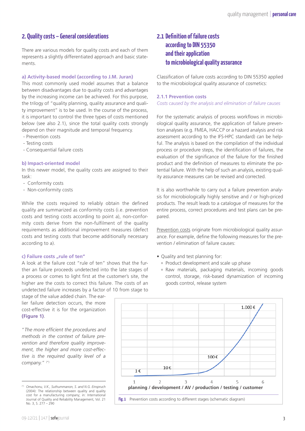## **2. Quality costs – General considerations**

There are various models for quality costs and each of them represents a slightly differentiated approach and basic statements.

#### **a) Activity-based model (according to J.M. Juran)**

This most commonly used model assumes that a balance between disadvantages due to quality costs and advantages by the increasing income can be achieved. For this purpose, the trilogy of "quality planning, quality assurance and quality improvement" is to be used. In the course of the process, it is important to control the three types of costs mentioned below (see also 2.1), since the total quality costs strongly depend on their magnitude and temporal frequency.

- Prevention costs
- Testing costs
- Consequential failure costs

#### **b) Impact-oriented model**

In this newer model, the quality costs are assigned to their task:

- Conformity costs
- Non-conformity costs

While the costs required to reliably obtain the defined quality are summarized as conformity costs (i.e. prevention costs and testing costs according to point a), non-conformity costs derive from the non-fulfilment of the quality requirements as additional improvement measures (defect costs and testing costs that become additionally necessary according to a).

#### **c) Failure costs "rule of ten"**

A look at the failure cost "rule of ten" shows that the further an failure proceeds undetected into the late stages of a process or comes to light first at the customer's site, the higher are the costs to correct this failure. The costs of an undetected failure increases by a factor of 10 from stage to

stage of the value added chain. The earlier failure detection occurs, the more cost-effective it is for the organization **(Figure 1)**.

"*The more efficient the procedures and methods in the context of failure prevention and therefore quality improvement, the higher and more cost-effective is the required quality level of a company.*" (\*)

# **2.1 Definition of failure costs according to DIN 55350 and their application to microbiological quality assurance**

Classification of failure costs according to DIN 55350 applied to the microbiological quality assurance of cosmetics:

#### **2.1.1 Prevention costs**

*Costs caused by the analysis and elimination of failure causes*

For the systematic analysis of process workflows in microbiological quality assurance, the application of failure prevention analyses (e.g. FMEA, HACCP or a hazard analysis and risk assessment according to the IFS-HPC standard) can be helpful. The analysis is based on the compilation of the individual process or procedure steps, the identification of failures, the evaluation of the significance of the failure for the finished product and the definition of measures to eliminate the potential failure. With the help of such an analysis, existing quality assurance measures can be revised and corrected.

It is also worthwhile to carry out a failure prevention analysis for microbiologically highly sensitive and / or high-priced products. The result leads to a catalogue of measures for the entire process, correct procedures and test plans can be prepared.

Prevention costs originate from microbiological quality assurance. For example, define the following measures for the prevention / elimination of failure causes:

- Quality and test planning for:
	- º Product development and scale up phase
	- º Raw materials, packaging materials, incoming goods control, storage, risk-based dynamization of incoming goods control, release system



<sup>(\*)</sup> *Omachonu, V.K., Suthummanon, S. and N.G. Einspruch* (2004): The relationship between quality and quality cost for a manufacturing company; in: International Journal of Quality and Reliability Management, Vol. 21 No. 3, S. 277 – 290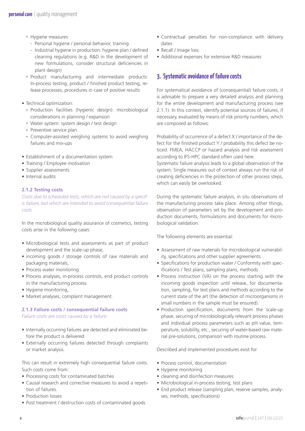- º Hygiene measures
	- Personal hygiene / personal behavior, training
	- Industrial hygiene in production: hygiene plan / defined cleaning regulations (e.g. R&D in the development of new formulations, consider structural deficiencies in plant design)
- º Product manufacturing and intermediate products: In-process testing, product / finished product testing, release processes, procedures in case of positive results
- Technical optimization:
	- º Production facilities (hygienic design): microbiological considerations in planning / expansion
	- º Water system: system design / test design
	- º Preventive service plan
	- º Computer-assisted weighing systems to avoid weighing failures and mix-ups
- Establishment of a documentation system
- Training / Employee motivation
- Supplier assessments
- Internal audits

#### **2.1.2 Testing costs**

*Costs due to scheduled tests, which are not caused by a specific failure, but which are intended to avoid consequential failure costs*

In the microbiological quality assurance of cosmetics, testing costs arise in the following cases:

- Microbiological tests and assessments as part of product development and the scale-up phase,
- incoming goods / storage controls of raw materials and packaging materials,
- Process water monitoring
- Process analyses, in-process controls, end product controls in the manufacturing process
- Hygiene monitoring,
- Market analyses, complaint management.

#### **2.1.3 Failure costs / consequential failure costs** *Failure costs are costs caused by a failure*

- Internally occurring failures are detected and eliminated before the product is delivered
- Externally occurring failures detected through complaints or market analysis.

This can result in extremely high consequential failure costs. Such costs come from:

- Processing costs for contaminated batches
- Causal research and corrective measures to avoid a repetition of failures.
- Production losses
- Post treatment / destruction costs of contaminated goods
- Contractual penalties for non-compliance with delivery dates
- Recall / Image loss
- Additional expenses for extensive R&D measures

## **3. Systematic avoidance of failure costs**

For systematical avoidance of (consequential) failure costs, it is advisable to prepare a very detailed analysis and planning for the entire development and manufacturing process (see 2.1.1). In this context, identify potential sources of failures, if necessary, evaluated by means of risk priority numbers, which are composed as follows:

Probability of occurrence of a defect X / importance of the defect for the finished product Y / probability this defect be noticed. FMEA, HACCP or hazard analysis and risk assessment according to IFS-HPC standard often used here.

Systematic failure analysis leads to a global observation of the system. Single measures out of context always run the risk of creating deficiencies in the protection of other process steps, which can easily be overlooked.

During the systematic failure analysis, in situ observations of the manufacturing process take place. Among other things, observation of parameters set by the development and production documents, formulations and documents for microbiological validation.

The following elements are essential:

- Assessment of raw materials for microbiological vulnerability, specifications and other supplier agreements
- Specifications for production water / Conformity with specifications / Test plans, sampling plans, methods
- Process instruction (VA) on the process starting with the incoming goods inspection until release, for documentation, sampling, for test plans and methods according to the current state of the art (the detection of microorganisms in small numbers in the sample must be ensured).
- Production specification, documents from the scale-up phase, securing of microbiologically relevant process phases and individual process parameters such as pH value, temperature, solubility, etc., securing of water-based raw material pre-solutions, comparison with routine process.

Described and implemented procedures exist for

- Process control, documentation
- Hygiene monitoring
- cleaning and disinfection measures
- Microbiological in-process testing, test plans
- End product release (sampling plan, reserve samples, analyses, methods, specifications)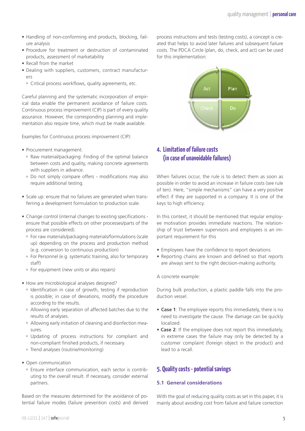- Handling of non-conforming end products, blocking, failure analysis
- Procedure for treatment or destruction of contaminated products, assessment of marketability
- Recall from the market
- Dealing with suppliers, customers, contract manufacturers
	- º Critical process workflows, quality agreements, etc.

Careful planning and the systematic incorporation of empirical data enable the permanent avoidance of failure costs. Continuous process improvement (CIP) is part of every quality assurance. However, the corresponding planning and implementation also require time, which must be made available.

Examples for Continuous process improvement (CIP):

- Procurement management:
	- º Raw material/packaging: Finding of the optimal balance between costs and quality, making concrete agreements with suppliers in advance. failure costs (see rule of ten). Here, "simple mechanisms" can have a very positive effect if they are
	- º Do not simply compare offers modifications may also require additional testing.
- Scale up: ensure that no failures are generated when transferring a development formulation to production scale.
- Change control (internal changes to existing specifications ensure that possible effects on other processes/parts of the process are considered).
	- º For raw materials/packaging materials/formulations (scale up) depending on the process and production method (e.g. conversion to continuous production)
	- º For Personnel (e.g. systematic training, also for temporary staff)
	- º For equipment (new units or also repairs)
- How are microbiological analyses designed?
	- º Identification in case of growth, testing if reproduction is possible; in case of deviations, modify the procedure according to the results.  $\alpha$  and production complete in the product in the product in the product in the product  $\alpha$  recalled to a recollection object in the product in the product in the product in the product in the product in the product in
	- º Allowing early separation of affected batches due to the results of analyses.
	- º Allowing early initiation of cleaning and disinfection mea-**To be continued** sures.
	- º Updating of process instructions for compliant and non-compliant finished products, if necessary.
	- º Trend analyses (routine/monitoring)
- Open communication
	- º Ensure interface communication, each sector is contributing to the overall result. If necessary, consider external partners.

Based on the measures determined for the avoidance of potential failure modes (failure prevention costs) and derived

oducts, blocking, fail-<br>
anocess instructions and tests (testing costs), a concept is created that helps to avoid later failures and subsequent failure ion of contaminated costs. The PDCA Circle (plan, do, check, and act) can be used for this implementation:



# **4. Limitation of failure costs** the optimal balance **(in case of unavoidable failures)**<br>concrete agreements

odifications may also When failures occur, the rule is to detect them as soon as possible in order to avoid an increase in failure costs (see rule possible in order to droid an increase in randre esses (see rate<br>of ten). Here, "simple mechanisms" can have a very positive enerated when trans-<br>effect if they are supported in a company. It is one of the keys to high efficiency.

> cations - In this context, it should be mentioned that regular employof the ee motivation provides immediate reactions. The relationship of trust between supervisors and employees is an important requirement for this

- Employees have the confidence to report deviations
- Reporting chains are known and defined so that reports are always sent to the right decision-making authority.

A concrete example:

esting if reproduction buring bulk production, a plastic paddle falls into the pro-<br>nodify the procedure solution vessels duction vessel.

- **Case 1**: The employee reports this immediately, there is no need to investigate the cause. The damage can be quickly localized.
- **Case 2**: If the employee does not report this immediately, for compliant and in extreme cases the failure may only be detected by a necessary. The customer complaint (foreign object in the product) and lead to a recall.

## **5. Quality costs - potential savings**

#### **5.1 General considerations**

With the goal of reducing quality costs as set in this paper, it is mainly about avoiding cost from failure and failure correction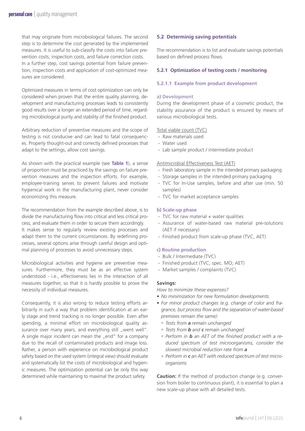that may originate from microbiological failures. The second step is to determine the cost generated by the implemented measures. It is useful to sub-classify the costs into failure prevention costs, inspection costs, and failure correction costs. In a further step, cost savings potential from failure prevention, inspection costs and application of cost-optimized measures are considered.

Optimized measures in terms of cost optimization can only be considered when proven that the entire quality planning, development and manufacturing processes leads to consistently good results over a longer an extended period of time, regarding microbiological purity and stability of the finished product.

Arbitrary reduction of preventive measures and the scope of testing is not conducive and can lead to fatal consequences. Properly thought-out and correctly defined processes that adapt to the settings, allow cost savings.

As shown with the practical example (see **Table 1**), a sense of proportion must be practiced by the savings on failure prevention measures and the inspection efforts. For example, employee-training serves to prevent failures and motivate hygienical work in the manufacturing plant, never consider economizing this measure.

The recommendation from the example described above, is to divide the manufacturing flow into critical and less critical process, and evaluate them in order to secure them accordingly. It makes sense to regularly review existing processes and adapt them to the current circumstances. By redefining processes, several options arise through careful design and optimal planning of processes to avoid unnecessary steps.

Microbiological activities and hygiene are preventive measures. Furthermore, they must be as an effective system understood - i.e., effectiveness lies in the interaction of all measures together, so that it is hardly possible to prove the necessity of individual measures.

Consequently, it is also wrong to reduce testing efforts arbitrarily in such a way that problem identification at an early stage and trend tracking is no longer possible. Even after spending, a minimal effort on microbiological quality assurance over many years, and everything still "went well". A single major incident can mean the "end" for a company due to the recall of contaminated products and image loss. Rather, a person with experience on microbiological product safety based on the used system (integral view) should evaluate and systematically list the costs of microbiological and hygienic measures. The optimization potential can be only this way determined while maintaining to maximal the product safety.

#### **5.2 Determinig saving potentials**

The recommendation is to list and evaluate savings potentials based on defined process flows.

#### **5.2.1 Optimization of testing costs / monitoring**

#### **5.2.1.1 Example from product development**

#### **a) Development**

During the development phase of a cosmetic product, the stability assurance of the product is ensured by means of various microbiological tests.

#### Total viable count (TVC)

- Raw materials used
- Water used
- Lab sample product / intermediate product

#### Antimicrobial Effectiveness Test (AET)

- Fresh laboratory sample in the intended primary packaging
- Storage samples in the intended primary packaging
- TVC for In-Use samples, before and after use (min. 50 samples)
- TVC for market acceptance samples

#### **b) Scale-up phase**

- TVC for raw material + water qualities
- Assurance of water-based raw material pre-solutions (AET if necessary)
- Finished product from scale-up phase (TVC, AET)

#### **c) Routine production**

- Bulk / Intermediate (TVC)
- Finished product (TVC, spec. MO; AET)
- Market samples / complaints (TVC)

#### **Savings:**

*How to minimize these expenses?*

- *• No minimization for new formulation developments.*
- *• For minor product changes (e.g. change of color and fragrance, but process flow and the separation of water-based premixes remain the same):* 
	- *º Tests from a remain unchanged*
	- *º Tests from b and c remain unchanged*
	- *º Perform in b an AET of the finished product with a reduced spectrum of test microorganisms, consider the slowest microbial reduction rate from a*
	- *º Perform in c an AET with reduced spectrum of test microorganisms*

**Caution:** If the method of production change (e.g. conversion from boiler to continuous plant), it is essential to plan a new scale-up phase with all detailed tests.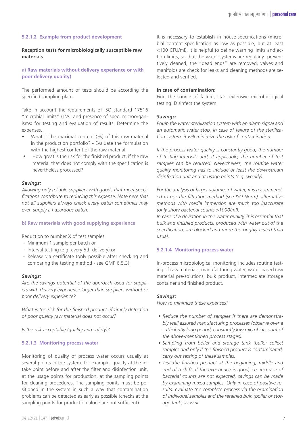#### **5.2.1.2 Example from product development**

#### **Reception tests for microbiologically susceptible raw materials**

#### **a) Raw materials without delivery experience or with poor delivery quality)**

The performed amount of tests should be according the specified sampling plan.

Take in account the requirements of ISO standard 17516 "microbial limits" (TVC and presence of spec. microorganisms) for testing and evaluation of results. Determine the expenses.

- What is the maximal content (%) of this raw material in the production portfolio? - Evaluate the formulation with the highest content of the raw material.
- How great is the risk for the finished product, if the raw material that does not comply with the specification is nevertheless processed?

#### *Savings:*

*Allowing only reliable suppliers with goods that meet specifications contribute to reducing this expense. Note here that not all suppliers always check every batch sometimes may even supply a hazardous batch.*

#### **b) Raw materials with good supplying experience**

Reduction to number X of test samples:

- Minimum 1 sample per batch or
- Interval testing (e.g. every 5th delivery) or
- Release via certificate (only possible after checking and comparing the testing method - see GMP 6.5.3).

#### *Savings:*

*Are the savings potential of the approach used for suppliers with delivery experience larger than suppliers without or poor delivery experience?*

*What is the risk for the finished product, if timely detection of poor quality raw material does not occur?* 

*Is the risk acceptable (quality and safety)?*

#### **5.2.1.3 Monitoring process water**

Monitoring of quality of process water occurs usually at several points in the system: for example, quality at the intake point before and after the filter and disinfection unit, at the usage points for production, at the sampling points for cleaning procedures. The sampling points must be positioned in the system in such a way that contamination problems can be detected as early as possible (checks at the sampling points for production alone are not sufficient).

#### **In case of contamination:**

Find the source of failure, start extensive microbiological testing. Disinfect the system.

#### *Savings:*

*Equip the water sterilization system with an alarm signal and an automatic water stop. In case of failure of the sterilization system, it will minimize the risk of contamination.* 

*If the process water quality is constantly good, the number of testing intervals and, if applicable, the number of test samples can be reduced. Nevertheless, the routine water quality monitoring has to include at least the downstream disinfection unit and at usage points (e.g. weekly).*

*For the analysis of larger volumes of water, it is recommended to use the filtration method (see ISO Norm), alternative methods with media immersion are much too inaccurate (only show bacterial counts >1000/ml).*

*In case of a deviation in the water quality, it is essential that bulk and finished products, produced with water out of the specification, are blocked and more thoroughly tested than usual.* 

#### **5.2.1.4 Monitoring process water**

In-process microbiological monitoring includes routine testing of raw materials, manufacturing water, water-based raw material pre-solutions, bulk product, intermediate storage container and finished product.

#### *Savings:*

*How to minimize these expenses?*

- *• Reduce the number of samples if there are demonstrably well assured manufacturing processes (observe over a sufficiently long period, constantly low microbial count of the above-mentioned process stages).*
- *• Sampling from boiler and storage tank (bulk): collect samples and only if the finished product is contaminated, carry out testing of these samples.*
- *• Test the finished product at the beginning, middle and end of a shift. If the experience is good, i.e. increase of bacterial counts are not expected, savings can be made by examining mixed samples. Only in case of positive results, evaluate the complete process via the examination of individual samples and the retained bulk (boiler or storage tank) as well.*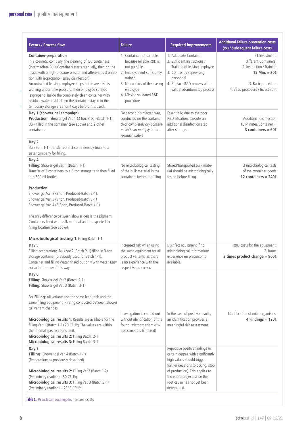| <b>Events / Process flow</b>                                                                                                                                                                                                                                                                                                                                                                                                                                                                                                                                   | <b>Failure</b>                                                                                                                                                                                           | <b>Required improvements</b>                                                                                                                                                                                                                              | <b>Additional failure prevention costs</b><br>(xx) / Subsequent failure costs                                                                     |
|----------------------------------------------------------------------------------------------------------------------------------------------------------------------------------------------------------------------------------------------------------------------------------------------------------------------------------------------------------------------------------------------------------------------------------------------------------------------------------------------------------------------------------------------------------------|----------------------------------------------------------------------------------------------------------------------------------------------------------------------------------------------------------|-----------------------------------------------------------------------------------------------------------------------------------------------------------------------------------------------------------------------------------------------------------|---------------------------------------------------------------------------------------------------------------------------------------------------|
| <b>Container-preparation</b><br>In a cosmetic company, the cleaning of IBC containers<br>(Intermediate Bulk Container) starts manually, then on the<br>inside with a high-pressure washer and afterwards disinfec-<br>tion with isopropanol (spray disinfection).<br>An untrained leasing employee helps in the area. He is<br>working under time pressure. Then employee sprayed<br>isopropanol inside the completely clean container with<br>residual water inside. Then the container stayed in the<br>temporary storage area for 4 days before it is used. | 1. Container not suitable,<br>because reliable R&D is<br>not possible.<br>2. Employee not sufficiently<br>trained.<br>3. No controls of the leasing<br>employee<br>4. Missing validated R&D<br>procedure | 1. Adequate Container<br>2. Sufficient Instructions /<br>Training of leasing employee<br>3. Control by supervising<br>personnel<br>4. Replace R&D process with<br>validated/automated process                                                             | (1. Investment:<br>different Containers)<br>2. Instruction / Training<br>15 Min. = $20€$<br>3. Basic procedure<br>4. Basic procedure / Investment |
| Day 1 (shower gel campaign)<br>Production: Shower gel Var. 1 (3 ton, Prod.-Batch 1-1).<br>Bulk filled in the container (see above) and 2 other<br>containers.                                                                                                                                                                                                                                                                                                                                                                                                  | No second disinfected was<br>conducted on the container<br>(Not completely dry contain-<br>er. MO can multiply in the<br>residual water)                                                                 | Essentially, due to the poor<br>R&D situation, execute an<br>additional disinfection step<br>after storage.                                                                                                                                               | Additional disinfection<br>15 Minutes/Container =<br>3 containers = $60ε$                                                                         |
| Day 2<br>Bulk (Ch. 1-1) transferred in 3 containers by truck to a<br>sister company for filling.                                                                                                                                                                                                                                                                                                                                                                                                                                                               |                                                                                                                                                                                                          |                                                                                                                                                                                                                                                           |                                                                                                                                                   |
| Day 4<br>Filling: Shower gel Var. 1 (Batch. 1-1)<br>Transfer of 3 containers to a 3-ton storage tank then filled<br>into 300 ml bottles.                                                                                                                                                                                                                                                                                                                                                                                                                       | No microbiological testing<br>of the bulk material in the<br>containers before for filling                                                                                                               | Stored/transported bulk mate-<br>rial should be microbiologically<br>tested before filling                                                                                                                                                                | 3 microbiological tests<br>of the container goods<br>12 containers = $240 \epsilon$                                                               |
| <b>Production:</b><br>Shower gel Var. 2 (3 ton, Produced-Batch 2-1).<br>Shower gel Var. 3 (3 ton, Produced-Batch 3-1)<br>Shower gel Var. 4 (3 3 ton, Produced-Batch 4-1)<br>The only difference between shower gels is the pigment.<br>Containers filled with bulk material and transported to<br>filling location (see above).                                                                                                                                                                                                                                |                                                                                                                                                                                                          |                                                                                                                                                                                                                                                           |                                                                                                                                                   |
| Microbiological testing 1: Filling Batch 1-1                                                                                                                                                                                                                                                                                                                                                                                                                                                                                                                   |                                                                                                                                                                                                          |                                                                                                                                                                                                                                                           |                                                                                                                                                   |
| Day 5<br>Filling-preparation: Bulk Var.2 (Batch 2-1) filled in 3-ton<br>storage container (previously used for Batch 1-1).<br>Container and filling Water rinsed out only with water. Easy<br>surfactant removal this way.                                                                                                                                                                                                                                                                                                                                     | Increased risk when using<br>the same equipment for all<br>product variants, as there<br>is no experience with the<br>respective precursor.                                                              | Disinfect equipment if no<br>microbiological information/<br>experience on precursor is<br>available.                                                                                                                                                     | R&D costs for the equipment:<br>3 hours<br>3 times product change = $900 \text{€}$                                                                |
| Day 6<br>Filling: Shower gel Var.2 (Batch. 2-1)<br>Filling: Shower gel Var. 3 (Batch. 3-1)                                                                                                                                                                                                                                                                                                                                                                                                                                                                     |                                                                                                                                                                                                          |                                                                                                                                                                                                                                                           |                                                                                                                                                   |
| For Filling: All variants use the same feed tank and the<br>same filling equipment. Rinsing conducted between shower<br>gel variant changes.                                                                                                                                                                                                                                                                                                                                                                                                                   |                                                                                                                                                                                                          |                                                                                                                                                                                                                                                           |                                                                                                                                                   |
| Microbiological results 1: Results are available for the<br>filling Var. 1 (Batch 1-1) 20 CFU/g. The values are within<br>the internal specifications limit.<br>Microbiological results 2: Filling Batch. 2-1<br>Microbiological results 3: Filling Batch. 3-1                                                                                                                                                                                                                                                                                                 | Investigation is carried out<br>without identification of the<br>found microorganism (risk<br>assessment is hindered)                                                                                    | In the case of positive results,<br>an identification provides a<br>meaningful risk assessment.                                                                                                                                                           | Identification of microorganisms:<br>4 Findings = $120$ €                                                                                         |
| Day 7<br>Filling: Shower gel Var. 4 (Batch 4-1)<br>(Preparation: as previously described)<br>Microbiological results 2: Filling Var.2 (Batch 1-2)<br>(Preliminary reading) - 50 CFU/g.<br>Microbiological results 3: Filling Var. 3 (Batch 3-1)<br>(Preliminary reading) - 2000 CFU/g.                                                                                                                                                                                                                                                                         |                                                                                                                                                                                                          | Repetitive positive findings in<br>certain degree with significantly<br>high values should trigger<br>further decisions (blocking/ stop<br>of production). This applies to<br>the entire project, since the<br>root cause has not yet been<br>determined. |                                                                                                                                                   |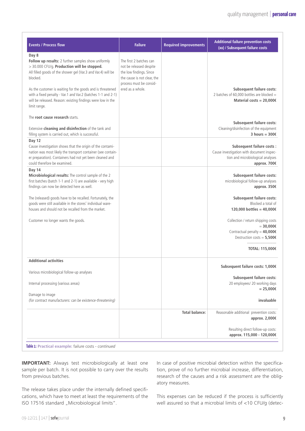| <b>Events / Process flow</b>                                                                                                                                                                                                                                                                                                                                                                         | <b>Failure</b>                                                                                                                                              | <b>Required improvements</b> | <b>Additional failure prevention costs</b><br>(xx) / Subsequent failure costs                                                                                              |
|------------------------------------------------------------------------------------------------------------------------------------------------------------------------------------------------------------------------------------------------------------------------------------------------------------------------------------------------------------------------------------------------------|-------------------------------------------------------------------------------------------------------------------------------------------------------------|------------------------------|----------------------------------------------------------------------------------------------------------------------------------------------------------------------------|
| Day 8<br>Follow up results: 2 further samples show uniformly<br>> 30.000 CFU/g. Production will be stopped.<br>All filled goods of the shower gel (Var.3 and Var.4) will be<br>blocked.<br>As the customer is waiting for the goods and is threatened<br>with a fixed penalty - Var.1 and Var.2 (batches 1-1 and 2-1)<br>will be released. Reason: existing findings were low in the<br>limit range. | The first 2 batches can<br>not be released despite<br>the low findings. Since<br>the cause is not clear, the<br>process must be consid-<br>ered as a whole. |                              | <b>Subsequent failure costs:</b><br>2 batches of 60,000 bottles are blocked =<br>Material costs = $20,000 \in$                                                             |
| The root cause research starts.<br>Extensive cleaning and disinfection of the tank and<br>filling system is carried out, which is successful.                                                                                                                                                                                                                                                        |                                                                                                                                                             |                              | <b>Subsequent failure costs:</b><br>Cleaning/disinfection of the equipment<br>3 hours = $3006$                                                                             |
| Day 12<br>Cause investigation shows that the origin of the contami-<br>nation was most likely the transport container (see contain-<br>er preparation). Containers had not yet been cleaned and<br>could therefore be examined.                                                                                                                                                                      |                                                                                                                                                             |                              | <b>Subsequent failure costs:</b><br>Cause investigation with document inspec-<br>tion and microbiological analyses<br>approx. 700€                                         |
| Day 14<br>Microbiological results: The control sample of the 2<br>first batches (batch 1-1 and 2-1) are available - very high<br>findings can now be detected here as well.                                                                                                                                                                                                                          |                                                                                                                                                             |                              | <b>Subsequent failure costs:</b><br>microbiological follow-up analyses<br>approx. 350€                                                                                     |
| The (released) goods have to be recalled. Fortunately, the<br>goods were still available in the stores' individual ware-<br>houses and should not be recalled from the market.                                                                                                                                                                                                                       |                                                                                                                                                             |                              | <b>Subsequent failure costs:</b><br>Blocked a total of<br>120,000 bottles = 40,000€                                                                                        |
| Customer no longer wants the goods.                                                                                                                                                                                                                                                                                                                                                                  |                                                                                                                                                             |                              | Collection / return shipping costs<br>$= 30,000 \in$<br>Contractual penalty = $40,000 \in$<br>Destruction costs = $5,500$ €<br>------------------------<br>TOTAL: 115,000€ |
| <b>Additional activities</b>                                                                                                                                                                                                                                                                                                                                                                         |                                                                                                                                                             |                              | Subsequent failure costs: 1,000€                                                                                                                                           |
| Various microbiological follow-up analyses                                                                                                                                                                                                                                                                                                                                                           |                                                                                                                                                             |                              | Subsequent failure costs:                                                                                                                                                  |
| Internal processing (various areas)<br>Damage to image                                                                                                                                                                                                                                                                                                                                               |                                                                                                                                                             |                              | 20 employees/ 20 working days<br>$= 25,000 \in$                                                                                                                            |
| (for contract manufacturers: can be existence-threatening)                                                                                                                                                                                                                                                                                                                                           |                                                                                                                                                             |                              | invaluable                                                                                                                                                                 |
|                                                                                                                                                                                                                                                                                                                                                                                                      |                                                                                                                                                             | <b>Total balance:</b>        | Reasonable additional prevention costs:<br>approx. 2,000€                                                                                                                  |
|                                                                                                                                                                                                                                                                                                                                                                                                      |                                                                                                                                                             |                              | Resulting direct follow-up costs:<br>approx. 115,000 - 120,000€                                                                                                            |

**Table 1: Practical example:** failure costs - *continued*

**IMPORTANT:** Always test microbiologically at least one sample per batch. It is not possible to carry over the results from previous batches.

The release takes place under the internally defined specifications, which have to meet at least the requirements of the ISO 17516 standard "Microbiological limits".

In case of positive microbial detection within the specification, prove of no further microbial increase, differentiation, research of the causes and a risk assessment are the obligatory measures.

This expenses can be reduced if the process is sufficiently well assured so that a microbial limits of <10 CFU/g (detec